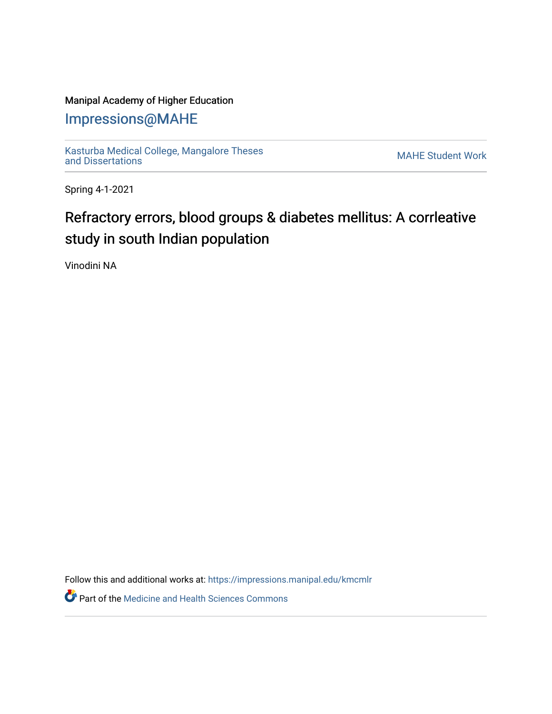### Manipal Academy of Higher Education

## [Impressions@MAHE](https://impressions.manipal.edu/)

[Kasturba Medical College, Mangalore Theses](https://impressions.manipal.edu/kmcmlr) Kasturba Medical College, Mangalore Theses<br>[and Dissertations](https://impressions.manipal.edu/kmcmlr) MAHE Student Work

Spring 4-1-2021

# Refractory errors, blood groups & diabetes mellitus: A corrleative study in south Indian population

Vinodini NA

Follow this and additional works at: [https://impressions.manipal.edu/kmcmlr](https://impressions.manipal.edu/kmcmlr?utm_source=impressions.manipal.edu%2Fkmcmlr%2F47&utm_medium=PDF&utm_campaign=PDFCoverPages) 

**Part of the Medicine and Health Sciences Commons**